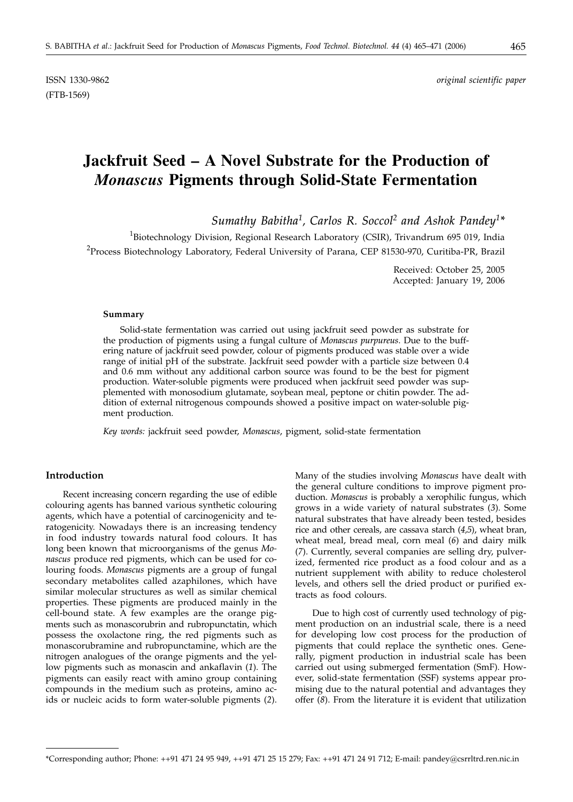ISSN 1330-9862 *original scientific paper*

# **Jackfruit Seed – A Novel Substrate for the Production of** *Monascus* **Pigments through Solid-State Fermentation**

*Sumathy Babitha1, Carlos R. Soccol2 and Ashok Pandey1\**

<sup>1</sup>Biotechnology Division, Regional Research Laboratory (CSIR), Trivandrum 695 019, India <sup>2</sup>Process Biotechnology Laboratory, Federal University of Parana, CEP 81530-970, Curitiba-PR, Brazil

> Received: October 25, 2005 Accepted: January 19, 2006

#### **Summary**

Solid-state fermentation was carried out using jackfruit seed powder as substrate for the production of pigments using a fungal culture of *Monascus purpureus*. Due to the buffering nature of jackfruit seed powder, colour of pigments produced was stable over a wide range of initial pH of the substrate. Jackfruit seed powder with a particle size between 0.4 and 0.6 mm without any additional carbon source was found to be the best for pigment production. Water-soluble pigments were produced when jackfruit seed powder was supplemented with monosodium glutamate, soybean meal, peptone or chitin powder. The addition of external nitrogenous compounds showed a positive impact on water-soluble pigment production.

*Key words:* jackfruit seed powder, *Monascus*, pigment, solid-state fermentation

## **Introduction**

Recent increasing concern regarding the use of edible colouring agents has banned various synthetic colouring agents, which have a potential of carcinogenicity and teratogenicity. Nowadays there is an increasing tendency in food industry towards natural food colours. It has long been known that microorganisms of the genus *Monascus* produce red pigments, which can be used for colouring foods. *Monascus* pigments are a group of fungal secondary metabolites called azaphilones, which have similar molecular structures as well as similar chemical properties. These pigments are produced mainly in the cell-bound state. A few examples are the orange pigments such as monascorubrin and rubropunctatin, which possess the oxolactone ring, the red pigments such as monascorubramine and rubropunctamine, which are the nitrogen analogues of the orange pigments and the yellow pigments such as monascin and ankaflavin (*1*). The pigments can easily react with amino group containing compounds in the medium such as proteins, amino acids or nucleic acids to form water-soluble pigments (*2*).

Many of the studies involving *Monascus* have dealt with the general culture conditions to improve pigment production. *Monascus* is probably a xerophilic fungus, which grows in a wide variety of natural substrates (*3*). Some natural substrates that have already been tested, besides rice and other cereals, are cassava starch (*4,5*), wheat bran, wheat meal, bread meal, corn meal (*6*) and dairy milk (*7*). Currently, several companies are selling dry, pulverized, fermented rice product as a food colour and as a nutrient supplement with ability to reduce cholesterol levels, and others sell the dried product or purified extracts as food colours.

Due to high cost of currently used technology of pigment production on an industrial scale, there is a need for developing low cost process for the production of pigments that could replace the synthetic ones. Generally, pigment production in industrial scale has been carried out using submerged fermentation (SmF). However, solid-state fermentation (SSF) systems appear promising due to the natural potential and advantages they offer (*8*). From the literature it is evident that utilization

<sup>\*</sup>Corresponding author; Phone: ++91 471 24 95 949, ++91 471 25 15 279; Fax: ++91 471 24 91 712; E-mail: pandey*@*csrrltrd.ren.nic.in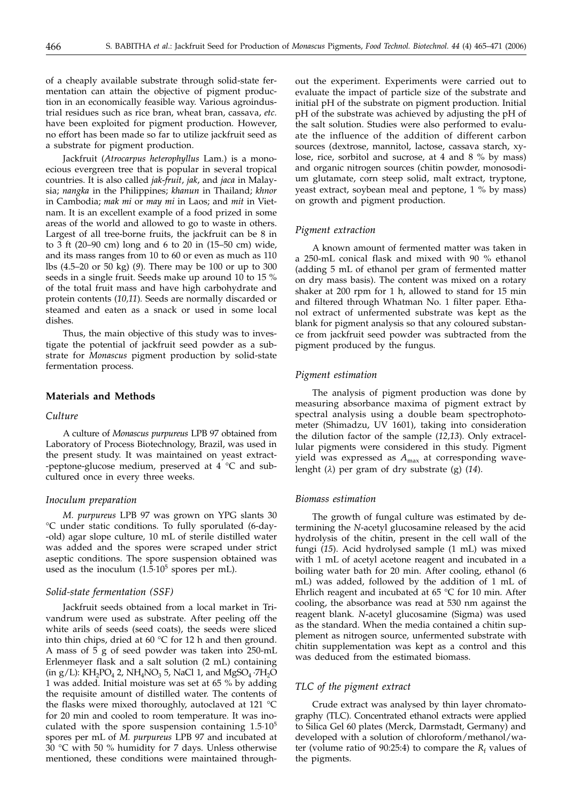of a cheaply available substrate through solid-state fermentation can attain the objective of pigment production in an economically feasible way. Various agroindustrial residues such as rice bran, wheat bran, cassava, *etc.* have been exploited for pigment production. However, no effort has been made so far to utilize jackfruit seed as a substrate for pigment production.

Jackfruit (*Atrocarpus heterophyllus* Lam.) is a monoecious evergreen tree that is popular in several tropical countries. It is also called *jak*-*fruit*, *jak*, and *jaca* in Malaysia; *nangka* in the Philippines; *khanun* in Thailand; *khnor* in Cambodia; *mak mi* or *may mi* in Laos; and *mit* in Vietnam. It is an excellent example of a food prized in some areas of the world and allowed to go to waste in others. Largest of all tree-borne fruits, the jackfruit can be 8 in to 3 ft (20–90 cm) long and 6 to 20 in (15–50 cm) wide, and its mass ranges from 10 to 60 or even as much as 110 lbs (4.5–20 or 50 kg) (*9*). There may be 100 or up to 300 seeds in a single fruit. Seeds make up around 10 to 15 % of the total fruit mass and have high carbohydrate and protein contents (*10,11*)*.* Seeds are normally discarded or steamed and eaten as a snack or used in some local dishes.

Thus, the main objective of this study was to investigate the potential of jackfruit seed powder as a substrate for *Monascus* pigment production by solid-state fermentation process.

# **Materials and Methods**

# *Culture*

A culture of *Monascus purpureus* LPB 97 obtained from Laboratory of Process Biotechnology, Brazil, was used in the present study. It was maintained on yeast extract- -peptone-glucose medium, preserved at 4 °C and subcultured once in every three weeks.

# *Inoculum preparation*

*M. purpureus* LPB 97 was grown on YPG slants 30 °C under static conditions. To fully sporulated (6-day- -old) agar slope culture, 10 mL of sterile distilled water was added and the spores were scraped under strict aseptic conditions. The spore suspension obtained was used as the inoculum  $(1.5 \cdot 10^5$  spores per mL).

#### *Solid-state fermentation (SSF)*

Jackfruit seeds obtained from a local market in Trivandrum were used as substrate. After peeling off the white arils of seeds (seed coats), the seeds were sliced into thin chips, dried at 60 °C for 12 h and then ground. A mass of 5 g of seed powder was taken into 250-mL Erlenmeyer flask and a salt solution (2 mL) containing  $(in g/L): KH<sub>2</sub>PO<sub>4</sub> 2, NH<sub>4</sub>NO<sub>3</sub> 5, NaCl 1, and MgSO<sub>4</sub>·7H<sub>2</sub>O$ 1 was added. Initial moisture was set at 65 % by adding the requisite amount of distilled water. The contents of the flasks were mixed thoroughly, autoclaved at 121 °C for 20 min and cooled to room temperature. It was inoculated with the spore suspension containing 1.5·105 spores per mL of *M. purpureus* LPB 97 and incubated at 30 °C with 50 % humidity for 7 days. Unless otherwise mentioned, these conditions were maintained through-

out the experiment. Experiments were carried out to evaluate the impact of particle size of the substrate and initial pH of the substrate on pigment production. Initial pH of the substrate was achieved by adjusting the pH of the salt solution. Studies were also performed to evaluate the influence of the addition of different carbon sources (dextrose, mannitol, lactose, cassava starch, xylose, rice, sorbitol and sucrose, at 4 and 8 % by mass) and organic nitrogen sources (chitin powder, monosodium glutamate, corn steep solid, malt extract, tryptone, yeast extract, soybean meal and peptone, 1 % by mass) on growth and pigment production.

#### *Pigment extraction*

A known amount of fermented matter was taken in a 250-mL conical flask and mixed with 90 % ethanol (adding 5 mL of ethanol per gram of fermented matter on dry mass basis). The content was mixed on a rotary shaker at 200 rpm for 1 h, allowed to stand for 15 min and filtered through Whatman No. 1 filter paper. Ethanol extract of unfermented substrate was kept as the blank for pigment analysis so that any coloured substance from jackfruit seed powder was subtracted from the pigment produced by the fungus.

## *Pigment estimation*

The analysis of pigment production was done by measuring absorbance maxima of pigment extract by spectral analysis using a double beam spectrophotometer (Shimadzu, UV 1601), taking into consideration the dilution factor of the sample (*12,13*). Only extracellular pigments were considered in this study. Pigment yield was expressed as  $A_{\text{max}}$  at corresponding wavelenght (*l*) per gram of dry substrate (g) (*14*).

# *Biomass estimation*

The growth of fungal culture was estimated by determining the *N*-acetyl glucosamine released by the acid hydrolysis of the chitin, present in the cell wall of the fungi (*15*). Acid hydrolysed sample (1 mL) was mixed with 1 mL of acetyl acetone reagent and incubated in a boiling water bath for 20 min. After cooling, ethanol (6 mL) was added, followed by the addition of 1 mL of Ehrlich reagent and incubated at 65 °C for 10 min. After cooling, the absorbance was read at 530 nm against the reagent blank. *N*-acetyl glucosamine (Sigma) was used as the standard. When the media contained a chitin supplement as nitrogen source, unfermented substrate with chitin supplementation was kept as a control and this was deduced from the estimated biomass.

# *TLC of the pigment extract*

Crude extract was analysed by thin layer chromatography (TLC). Concentrated ethanol extracts were applied to Silica Gel 60 plates (Merck, Darmstadt, Germany) and developed with a solution of chloroform/methanol/water (volume ratio of 90:25:4) to compare the  $R_f$  values of the pigments.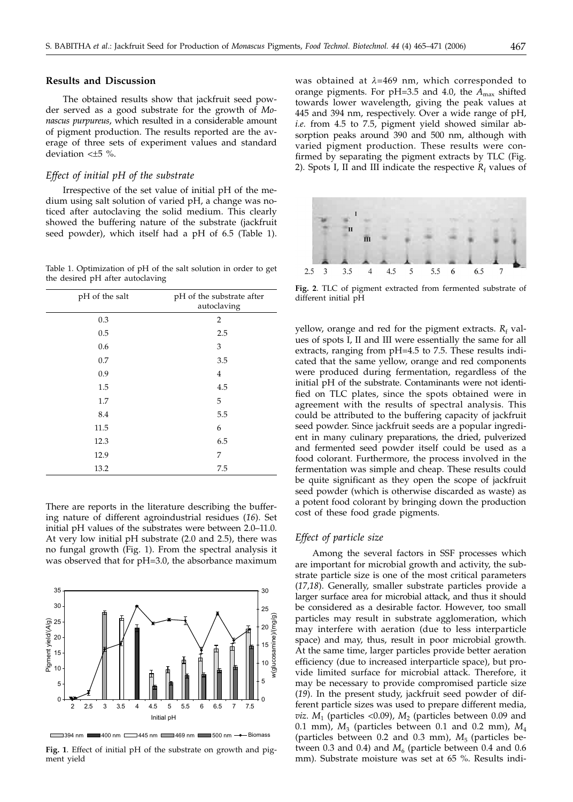# **Results and Discussion**

The obtained results show that jackfruit seed powder served as a good substrate for the growth of *Monascus purpureus*, which resulted in a considerable amount of pigment production. The results reported are the average of three sets of experiment values and standard deviation <*±*5 %.

## *Effect of initial pH of the substrate*

Irrespective of the set value of initial pH of the medium using salt solution of varied pH, a change was noticed after autoclaving the solid medium. This clearly showed the buffering nature of the substrate (jackfruit seed powder), which itself had a pH of 6.5 (Table 1).

Table 1. Optimization of pH of the salt solution in order to get the desired pH after autoclaving

| pH of the salt | pH of the substrate after<br>autoclaving |
|----------------|------------------------------------------|
| 0.3            | $\overline{2}$                           |
| 0.5            | 2.5                                      |
| 0.6            | 3                                        |
| 0.7            | 3.5                                      |
| 0.9            | $\overline{4}$                           |
| 1.5            | 4.5                                      |
| 1.7            | 5                                        |
| 8.4            | 5.5                                      |
| 11.5           | 6                                        |
| 12.3           | 6.5                                      |
| 12.9           | 7                                        |
| 13.2           | 7.5                                      |

There are reports in the literature describing the buffering nature of different agroindustrial residues (*16*). Set initial pH values of the substrates were between 2.0–11.0. At very low initial pH substrate (2.0 and 2.5), there was no fungal growth (Fig. 1). From the spectral analysis it was observed that for pH=3.0, the absorbance maximum



394 nm 400 nm 1445 nm 169 nm 500 nm -- Biomass

**Fig. 1**. Effect of initial pH of the substrate on growth and pigment yield

was obtained at *l*=469 nm, which corresponded to orange pigments. For pH=3.5 and 4.0, the  $A_{\text{max}}$  shifted towards lower wavelength, giving the peak values at 445 and 394 nm, respectively. Over a wide range of pH, *i.e.* from 4.5 to 7.5, pigment yield showed similar absorption peaks around 390 and 500 nm, although with varied pigment production. These results were confirmed by separating the pigment extracts by TLC (Fig. 2). Spots I, II and III indicate the respective  $R_f$  values of



**Fig. 2**. TLC of pigment extracted from fermented substrate of different initial pH

yellow, orange and red for the pigment extracts.  $R_f$  values of spots I, II and III were essentially the same for all extracts, ranging from pH=4.5 to 7.5. These results indicated that the same yellow, orange and red components were produced during fermentation, regardless of the initial pH of the substrate. Contaminants were not identified on TLC plates, since the spots obtained were in agreement with the results of spectral analysis. This could be attributed to the buffering capacity of jackfruit seed powder. Since jackfruit seeds are a popular ingredient in many culinary preparations, the dried, pulverized and fermented seed powder itself could be used as a food colorant. Furthermore, the process involved in the fermentation was simple and cheap. These results could be quite significant as they open the scope of jackfruit seed powder (which is otherwise discarded as waste) as a potent food colorant by bringing down the production cost of these food grade pigments.

## *Effect of particle size*

Among the several factors in SSF processes which are important for microbial growth and activity, the substrate particle size is one of the most critical parameters (*17,18*). Generally, smaller substrate particles provide a larger surface area for microbial attack, and thus it should be considered as a desirable factor. However, too small particles may result in substrate agglomeration, which may interfere with aeration (due to less interparticle space) and may, thus, result in poor microbial growth. At the same time, larger particles provide better aeration efficiency (due to increased interparticle space), but provide limited surface for microbial attack. Therefore, it may be necessary to provide compromised particle size (*19*). In the present study, jackfruit seed powder of different particle sizes was used to prepare different media, *viz.*  $M_1$  (particles <0.09),  $M_2$  (particles between 0.09 and 0.1 mm),  $M_3$  (particles between 0.1 and 0.2 mm),  $M_4$ (particles between 0.2 and 0.3 mm),  $M<sub>5</sub>$  (particles between  $0.3$  and  $0.4$ ) and  $M<sub>6</sub>$  (particle between  $0.4$  and  $0.6$ mm). Substrate moisture was set at 65 %. Results indi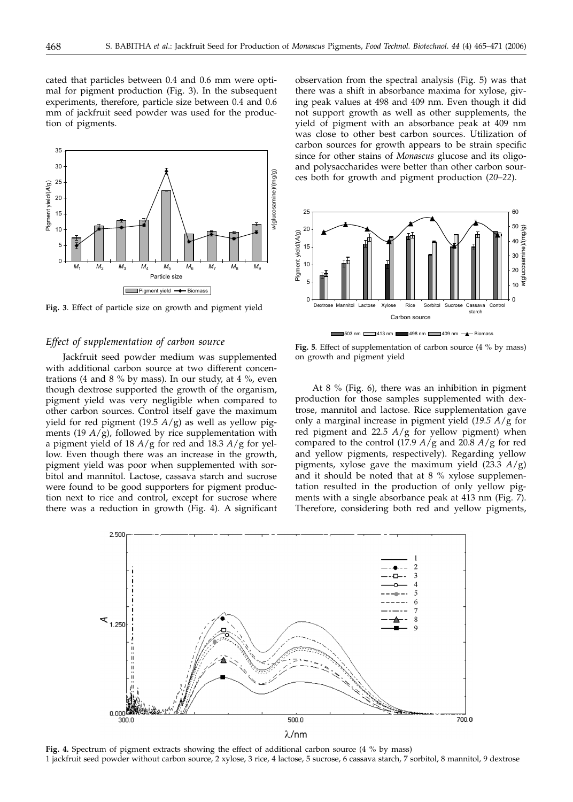cated that particles between 0.4 and 0.6 mm were optimal for pigment production (Fig. 3). In the subsequent experiments, therefore, particle size between 0.4 and 0.6 mm of jackfruit seed powder was used for the production of pigments.



**Fig. 3**. Effect of particle size on growth and pigment yield

# *Effect of supplementation of carbon source*

Jackfruit seed powder medium was supplemented with additional carbon source at two different concentrations (4 and 8  $\%$  by mass). In our study, at 4  $\%$ , even though dextrose supported the growth of the organism, pigment yield was very negligible when compared to other carbon sources. Control itself gave the maximum yield for red pigment (19.5  $A/g$ ) as well as yellow pigments (19  $A/\overline{g}$ ), followed by rice supplementation with a pigment yield of 18 *A*/g for red and 18.3 *A*/g for yellow. Even though there was an increase in the growth, pigment yield was poor when supplemented with sorbitol and mannitol. Lactose, cassava starch and sucrose were found to be good supporters for pigment production next to rice and control, except for sucrose where there was a reduction in growth (Fig. 4). A significant

observation from the spectral analysis (Fig. 5) was that there was a shift in absorbance maxima for xylose, giving peak values at 498 and 409 nm. Even though it did not support growth as well as other supplements, the yield of pigment with an absorbance peak at 409 nm was close to other best carbon sources. Utilization of carbon sources for growth appears to be strain specific since for other stains of *Monascus* glucose and its oligoand polysaccharides were better than other carbon sources both for growth and pigment production (*20–22*).



**Fig. 5**. Effect of supplementation of carbon source (4 % by mass) on growth and pigment yield

At 8 % (Fig. 6), there was an inhibition in pigment production for those samples supplemented with dextrose, mannitol and lactose. Rice supplementation gave only a marginal increase in pigment yield (*19.5 A*/g for red pigment and 22.5 *A*/g for yellow pigment) when compared to the control (17.9 *A*/g and 20.8 *A*/g for red and yellow pigments, respectively). Regarding yellow pigments, xylose gave the maximum yield (23.3 *A*/g) and it should be noted that at 8 % xylose supplementation resulted in the production of only yellow pigments with a single absorbance peak at 413 nm (Fig. 7). Therefore, considering both red and yellow pigments,



**Fig. 4.** Spectrum of pigment extracts showing the effect of additional carbon source (4 % by mass) 1 jackfruit seed powder without carbon source, 2 xylose, 3 rice, 4 lactose, 5 sucrose, 6 cassava starch, 7 sorbitol, 8 mannitol, 9 dextrose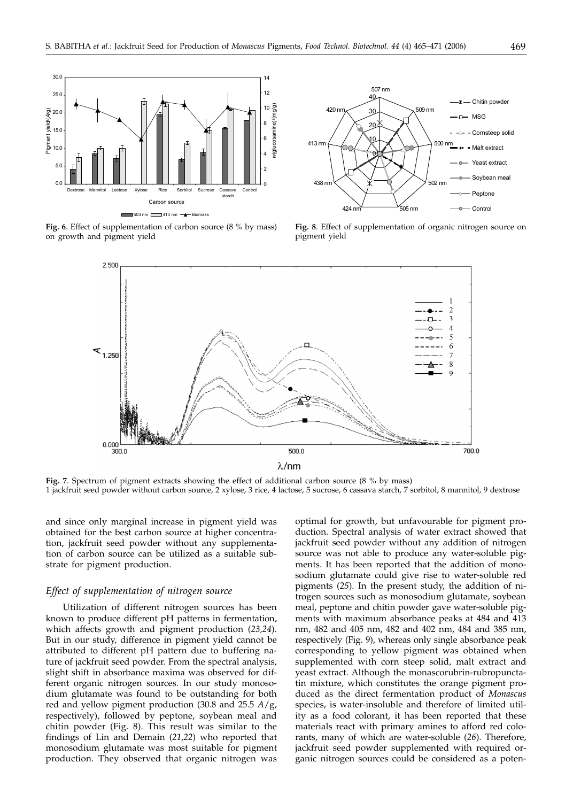



**Fig. 6**. Effect of supplementation of carbon source (8 % by mass) on growth and pigment yield





**Fig. 7**. Spectrum of pigment extracts showing the effect of additional carbon source (8 % by mass) 1 jackfruit seed powder without carbon source, 2 xylose, 3 rice, 4 lactose, 5 sucrose, 6 cassava starch, 7 sorbitol, 8 mannitol, 9 dextrose

and since only marginal increase in pigment yield was obtained for the best carbon source at higher concentration, jackfruit seed powder without any supplementation of carbon source can be utilized as a suitable substrate for pigment production.

## *Effect of supplementation of nitrogen source*

Utilization of different nitrogen sources has been known to produce different pH patterns in fermentation, which affects growth and pigment production (*23,24*). But in our study, difference in pigment yield cannot be attributed to different pH pattern due to buffering nature of jackfruit seed powder. From the spectral analysis, slight shift in absorbance maxima was observed for different organic nitrogen sources. In our study monosodium glutamate was found to be outstanding for both red and yellow pigment production (30.8 and 25.5 *A*/g, respectively), followed by peptone, soybean meal and chitin powder (Fig. 8). This result was similar to the findings of Lin and Demain (*21,22*) who reported that monosodium glutamate was most suitable for pigment production. They observed that organic nitrogen was

optimal for growth, but unfavourable for pigment production. Spectral analysis of water extract showed that jackfruit seed powder without any addition of nitrogen source was not able to produce any water-soluble pigments. It has been reported that the addition of monosodium glutamate could give rise to water-soluble red pigments (*25*). In the present study, the addition of nitrogen sources such as monosodium glutamate, soybean meal, peptone and chitin powder gave water-soluble pigments with maximum absorbance peaks at 484 and 413 nm, 482 and 405 nm, 482 and 402 nm, 484 and 385 nm, respectively (Fig. 9), whereas only single absorbance peak corresponding to yellow pigment was obtained when supplemented with corn steep solid, malt extract and yeast extract. Although the monascorubrin-rubropunctatin mixture, which constitutes the orange pigment produced as the direct fermentation product of *Monascus* species, is water-insoluble and therefore of limited utility as a food colorant, it has been reported that these materials react with primary amines to afford red colorants, many of which are water-soluble (*26*). Therefore, jackfruit seed powder supplemented with required organic nitrogen sources could be considered as a poten-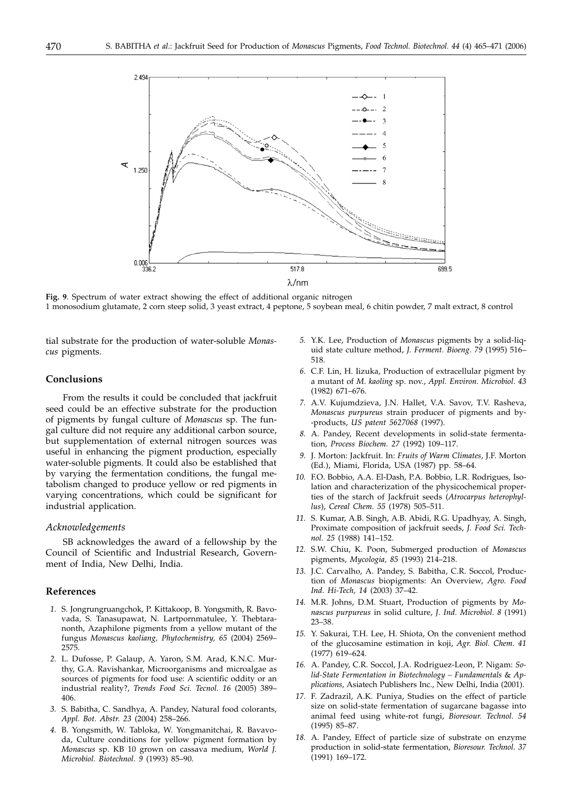

**Fig. 9**. Spectrum of water extract showing the effect of additional organic nitrogen 1 monosodium glutamate, 2 corn steep solid, 3 yeast extract, 4 peptone, 5 soybean meal, 6 chitin powder, 7 malt extract, 8 control

tial substrate for the production of water-soluble *Monascus* pigments.

## **Conclusions**

From the results it could be concluded that jackfruit seed could be an effective substrate for the production of pigments by fungal culture of *Monascus* sp. The fungal culture did not require any additional carbon source, but supplementation of external nitrogen sources was useful in enhancing the pigment production, especially water-soluble pigments. It could also be established that by varying the fermentation conditions, the fungal metabolism changed to produce yellow or red pigments in varying concentrations, which could be significant for industrial application.

## *Acknowledgements*

SB acknowledges the award of a fellowship by the Council of Scientific and Industrial Research, Government of India, New Delhi, India.

# **References**

- *1.* S. Jongrungruangchok, P. Kittakoop, B. Yongsmith, R. Bavovada, S. Tanasupawat, N. Lartpornmatulee, Y. Thebtaranonth, Azaphilone pigments from a yellow mutant of the fungus *Monascus kaoliang, Phytochemistry, 65* (2004) 2569– 2575.
- *2.* L. Dufosse, P. Galaup, A. Yaron, S.M. Arad, K.N.C. Murthy, G.A. Ravishankar, Microorganisms and microalgae as sources of pigments for food use: A scientific oddity or an industrial reality?, *Trends Food Sci. Tecnol. 16* (2005) 389– 406.
- *3.* S. Babitha, C. Sandhya, A. Pandey, Natural food colorants, *Appl. Bot. Abstr. 23* (2004) 258–266.
- *4.* B. Yongsmith, W. Tabloka, W. Yongmanitchai, R. Bavavoda, Culture conditions for yellow pigment formation by *Monascus* sp. KB 10 grown on cassava medium, *World J. Microbiol. Biotechnol*. *9* (1993) 85–90.
- *5.* Y.K. Lee, Production of *Monascus* pigments by a solid-liquid state culture method, *J. Ferment. Bioeng*. *79* (1995) 516– 518.
- *6.* C.F. Lin, H. Iizuka, Production of extracellular pigment by a mutant of *M. kaoling* sp. nov., *Appl. Environ. Microbiol*. *43* (1982) 671–676.
- *7.* A.V. Kujumdzieva, J.N. Hallet, V.A. Savov, T.V. Rasheva, *Monascus purpureus* strain producer of pigments and by- -products, *US patent 5627068* (1997).
- *8.* A. Pandey, Recent developments in solid-state fermentation, *Process Biochem. 27* (1992) 109–117.
- *9.* J. Morton: Jackfruit. In: *Fruits of Warm Climates*, J.F. Morton (Ed.), Miami, Florida, USA (1987) pp. 58–64.
- *10.* F.O. Bobbio, A.A. El-Dash, P.A. Bobbio, L.R. Rodrigues, Isolation and characterization of the physicochemical properties of the starch of Jackfruit seeds (*Atrocarpus heterophyllus*), *Cereal Chem. 55* (1978) 505–511.
- *11.* S. Kumar, A.B. Singh, A.B. Abidi, R.G. Upadhyay, A. Singh, Proximate composition of jackfruit seeds, *J. Food Sci. Technol. 25* (1988) 141–152.
- *12.* S.W. Chiu, K. Poon, Submerged production of *Monascus* pigments, *Mycologia, 85* (1993) 214–218.
- *13.* J.C. Carvalho, A. Pandey, S. Babitha, C.R. Soccol, Production of *Monascus* biopigments: An Overview, *Agro. Food Ind. Hi-Tech, 14* (2003) 37–42.
- *14.* M.R. Johns, D.M. Stuart, Production of pigments by *Monascus purpureus* in solid culture, *J. Ind. Microbiol*. *8* (1991) 23–38.
- *15.* Y. Sakurai, T.H. Lee, H. Shiota, On the convenient method of the glucosamine estimation in koji, *Agr. Biol. Chem. 41* (1977) 619–624.
- *16.* A. Pandey, C.R. Soccol, J.A. Rodriguez-Leon, P. Nigam: *Solid-State Fermentation in Biotechnology – Fundamentals* & *Applications*, Asiatech Publishers Inc., New Delhi, India (2001).
- *17.* F. Zadrazil, A.K. Puniya, Studies on the effect of particle size on solid-state fermentation of sugarcane bagasse into animal feed using white-rot fungi, *Bioresour. Technol. 54* (1995) 85–87.
- *18.* A. Pandey, Effect of particle size of substrate on enzyme production in solid-state fermentation, *Bioresour. Technol*. *37* (1991) 169–172.